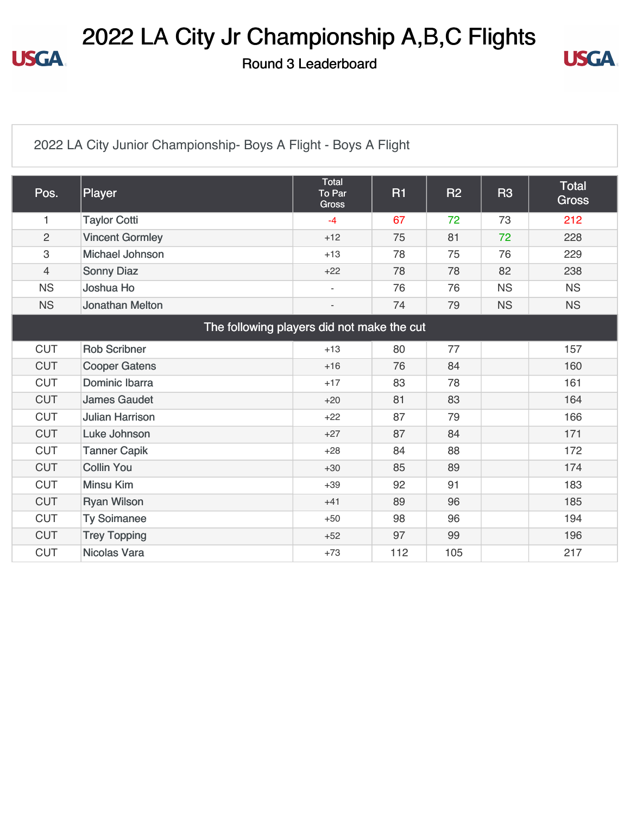## 2022 LA City Jr Championship A,B,C Flights

Round 3 Leaderboard



#### [2022 LA City Junior Championship- Boys A Flight - Boys A Flight](https://cdn2.golfgenius.com/v2tournaments/8346881689452031020?called_from=&round_index=3)

| Pos.           | <b>Player</b>                              | <b>Total</b><br>To Par<br><b>Gross</b> | <b>R1</b> | <b>R2</b> | <b>R3</b> | Total<br><b>Gross</b> |
|----------------|--------------------------------------------|----------------------------------------|-----------|-----------|-----------|-----------------------|
| $\mathbf{1}$   | <b>Taylor Cotti</b>                        | $-4$                                   | 67        | 72        | 73        | 212                   |
| $\overline{2}$ | <b>Vincent Gormley</b>                     | $+12$                                  | 75        | 81        | 72        | 228                   |
| 3              | Michael Johnson                            | $+13$                                  | 78        | 75        | 76        | 229                   |
| 4              | <b>Sonny Diaz</b>                          | $+22$                                  | 78        | 78        | 82        | 238                   |
| <b>NS</b>      | Joshua Ho                                  | $\overline{\phantom{a}}$               | 76        | 76        | <b>NS</b> | <b>NS</b>             |
| <b>NS</b>      | <b>Jonathan Melton</b>                     |                                        | 74        | 79        | <b>NS</b> | <b>NS</b>             |
|                | The following players did not make the cut |                                        |           |           |           |                       |
| <b>CUT</b>     | <b>Rob Scribner</b>                        | $+13$                                  | 80        | 77        |           | 157                   |
| <b>CUT</b>     | <b>Cooper Gatens</b>                       | $+16$                                  | 76        | 84        |           | 160                   |
| <b>CUT</b>     | Dominic Ibarra                             | $+17$                                  | 83        | 78        |           | 161                   |
| <b>CUT</b>     | <b>James Gaudet</b>                        | $+20$                                  | 81        | 83        |           | 164                   |
| <b>CUT</b>     | <b>Julian Harrison</b>                     | $+22$                                  | 87        | 79        |           | 166                   |
| <b>CUT</b>     | Luke Johnson                               | $+27$                                  | 87        | 84        |           | 171                   |
| <b>CUT</b>     | <b>Tanner Capik</b>                        | $+28$                                  | 84        | 88        |           | 172                   |
| <b>CUT</b>     | <b>Collin You</b>                          | $+30$                                  | 85        | 89        |           | 174                   |
| <b>CUT</b>     | <b>Minsu Kim</b>                           | $+39$                                  | 92        | 91        |           | 183                   |
| <b>CUT</b>     | <b>Ryan Wilson</b>                         | $+41$                                  | 89        | 96        |           | 185                   |
| <b>CUT</b>     | <b>Ty Soimanee</b>                         | $+50$                                  | 98        | 96        |           | 194                   |
| <b>CUT</b>     | <b>Trey Topping</b>                        | $+52$                                  | 97        | 99        |           | 196                   |
| <b>CUT</b>     | <b>Nicolas Vara</b>                        | $+73$                                  | 112       | 105       |           | 217                   |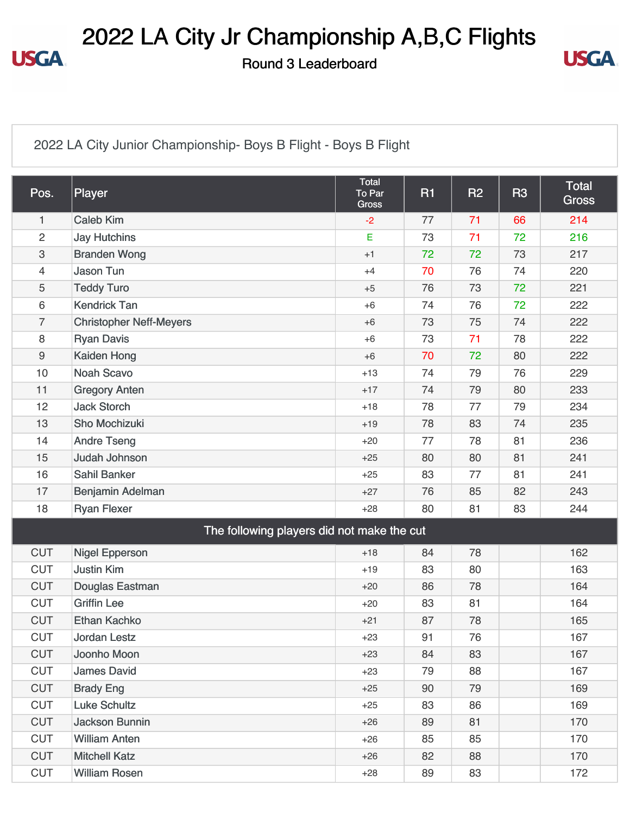#### 2022 LA City Jr Championship A,B,C Flights

Round 3 Leaderboard



[2022 LA City Junior Championship- Boys B Flight - Boys B Flight](https://cdn2.golfgenius.com/v2tournaments/8346881734918286384?called_from=&round_index=3)

| Pos.             | Player                                     | <b>Total</b><br>To Par<br><b>Gross</b> | <b>R1</b> | R <sub>2</sub> | R <sub>3</sub> | <b>Total</b><br><b>Gross</b> |
|------------------|--------------------------------------------|----------------------------------------|-----------|----------------|----------------|------------------------------|
| 1                | <b>Caleb Kim</b>                           | $-2$                                   | 77        | 71             | 66             | 214                          |
| $\overline{c}$   | <b>Jay Hutchins</b>                        | E                                      | 73        | 71             | 72             | 216                          |
| 3                | <b>Branden Wong</b>                        | $+1$                                   | 72        | 72             | 73             | 217                          |
| 4                | <b>Jason Tun</b>                           | $+4$                                   | 70        | 76             | 74             | 220                          |
| 5                | <b>Teddy Turo</b>                          | $+5$                                   | 76        | 73             | 72             | 221                          |
| 6                | <b>Kendrick Tan</b>                        | $+6$                                   | 74        | 76             | 72             | 222                          |
| $\overline{7}$   | <b>Christopher Neff-Meyers</b>             | $+6$                                   | 73        | 75             | 74             | 222                          |
| 8                | <b>Ryan Davis</b>                          | $+6$                                   | 73        | 71             | 78             | 222                          |
| $\boldsymbol{9}$ | Kaiden Hong                                | $+6$                                   | 70        | 72             | 80             | 222                          |
| 10               | <b>Noah Scavo</b>                          | $+13$                                  | 74        | 79             | 76             | 229                          |
| 11               | <b>Gregory Anten</b>                       | $+17$                                  | 74        | 79             | 80             | 233                          |
| 12               | <b>Jack Storch</b>                         | $+18$                                  | 78        | 77             | 79             | 234                          |
| 13               | Sho Mochizuki                              | $+19$                                  | 78        | 83             | 74             | 235                          |
| 14               | <b>Andre Tseng</b>                         | $+20$                                  | 77        | 78             | 81             | 236                          |
| 15               | <b>Judah Johnson</b>                       | $+25$                                  | 80        | 80             | 81             | 241                          |
| 16               | <b>Sahil Banker</b>                        | $+25$                                  | 83        | 77             | 81             | 241                          |
| 17               | Benjamin Adelman                           | $+27$                                  | 76        | 85             | 82             | 243                          |
| 18               | <b>Ryan Flexer</b>                         | $+28$                                  | 80        | 81             | 83             | 244                          |
|                  | The following players did not make the cut |                                        |           |                |                |                              |
| <b>CUT</b>       | <b>Nigel Epperson</b>                      | $+18$                                  | 84        | 78             |                | 162                          |
| <b>CUT</b>       | <b>Justin Kim</b>                          | $+19$                                  | 83        | 80             |                | 163                          |
| <b>CUT</b>       | Douglas Eastman                            | $+20$                                  | 86        | 78             |                | 164                          |
| <b>CUT</b>       | <b>Griffin Lee</b>                         | $+20$                                  | 83        | 81             |                | 164                          |
| <b>CUT</b>       | <b>Ethan Kachko</b>                        | $+21$                                  | 87        | 78             |                | 165                          |
| <b>CUT</b>       | <b>Jordan Lestz</b>                        | $+23$                                  | 91        | 76             |                | 167                          |
| <b>CUT</b>       | Joonho Moon                                | $+23$                                  | 84        | 83             |                | 167                          |
| <b>CUT</b>       | <b>James David</b>                         | $+23$                                  | 79        | 88             |                | 167                          |
| <b>CUT</b>       | <b>Brady Eng</b>                           | $+25$                                  | 90        | 79             |                | 169                          |
| <b>CUT</b>       | <b>Luke Schultz</b>                        | $+25$                                  | 83        | 86             |                | 169                          |
| <b>CUT</b>       | <b>Jackson Bunnin</b>                      | $+26$                                  | 89        | 81             |                | 170                          |
| <b>CUT</b>       | <b>William Anten</b>                       | $+26$                                  | 85        | 85             |                | 170                          |
| <b>CUT</b>       | <b>Mitchell Katz</b>                       | $+26$                                  | 82        | 88             |                | 170                          |
| <b>CUT</b>       | <b>William Rosen</b>                       | $+28$                                  | 89        | 83             |                | 172                          |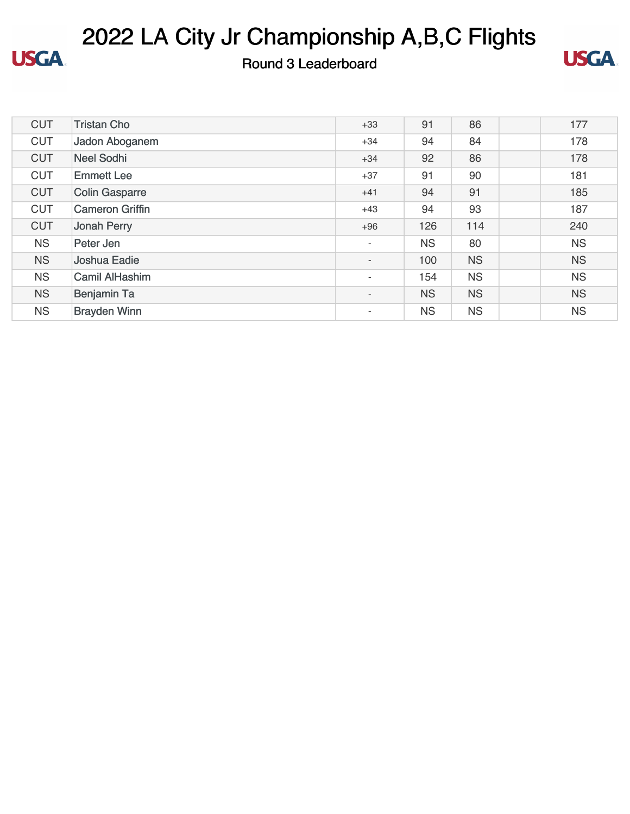

# 2022 LA City Jr Championship A,B,C Flights

#### Round 3 Leaderboard



| <b>CUT</b> | <b>Tristan Cho</b>     | $+33$                    | 91        | 86        | 177       |
|------------|------------------------|--------------------------|-----------|-----------|-----------|
| <b>CUT</b> | Jadon Aboganem         | $+34$                    | 94        | 84        | 178       |
| <b>CUT</b> | <b>Neel Sodhi</b>      | $+34$                    | 92        | 86        | 178       |
| <b>CUT</b> | <b>Emmett Lee</b>      | $+37$                    | 91        | 90        | 181       |
| <b>CUT</b> | <b>Colin Gasparre</b>  | $+41$                    | 94        | 91        | 185       |
| <b>CUT</b> | <b>Cameron Griffin</b> | $+43$                    | 94        | 93        | 187       |
| <b>CUT</b> | <b>Jonah Perry</b>     | $+96$                    | 126       | 114       | 240       |
| <b>NS</b>  | Peter Jen              | $\overline{\phantom{a}}$ | <b>NS</b> | 80        | <b>NS</b> |
| <b>NS</b>  | Joshua Eadie           | $\overline{\phantom{a}}$ | 100       | <b>NS</b> | <b>NS</b> |
| <b>NS</b>  | <b>Camil AlHashim</b>  | ٠                        | 154       | <b>NS</b> | <b>NS</b> |
| <b>NS</b>  | <b>Benjamin Ta</b>     | $\overline{\phantom{a}}$ | <b>NS</b> | <b>NS</b> | <b>NS</b> |
| <b>NS</b>  | <b>Brayden Winn</b>    | ٠                        | <b>NS</b> | <b>NS</b> | <b>NS</b> |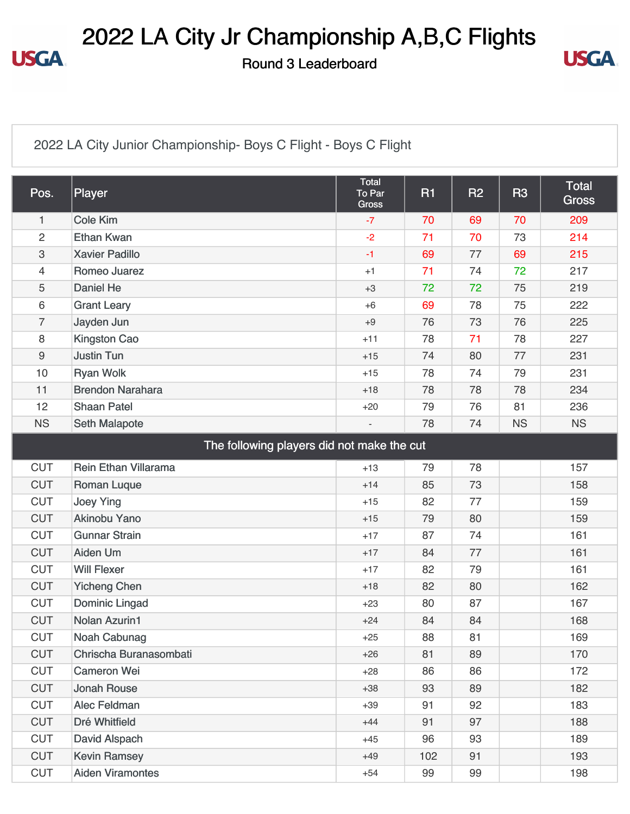#### 2022 LA City Jr Championship A,B,C Flights

Round 3 Leaderboard



[2022 LA City Junior Championship- Boys C Flight - Boys C Flight](https://cdn2.golfgenius.com/v2tournaments/8346881762600692788?called_from=&round_index=3)

| Pos.                                       | Player                      | <b>Total</b><br>To Par<br><b>Gross</b> | <b>R1</b> | R <sub>2</sub> | <b>R3</b> | <b>Total</b><br><b>Gross</b> |  |
|--------------------------------------------|-----------------------------|----------------------------------------|-----------|----------------|-----------|------------------------------|--|
| 1                                          | <b>Cole Kim</b>             | $-7$                                   | 70        | 69             | 70        | 209                          |  |
| $\overline{c}$                             | <b>Ethan Kwan</b>           | $-2$                                   | 71        | 70             | 73        | 214                          |  |
| 3                                          | <b>Xavier Padillo</b>       | $-1$                                   | 69        | 77             | 69        | 215                          |  |
| 4                                          | Romeo Juarez                | $+1$                                   | 71        | 74             | 72        | 217                          |  |
| 5                                          | Daniel He                   | $+3$                                   | 72        | 72             | 75        | 219                          |  |
| 6                                          | <b>Grant Leary</b>          | $+6$                                   | 69        | 78             | 75        | 222                          |  |
| $\overline{7}$                             | Jayden Jun                  | $+9$                                   | 76        | 73             | 76        | 225                          |  |
| 8                                          | <b>Kingston Cao</b>         | $+11$                                  | 78        | 71             | 78        | 227                          |  |
| 9                                          | <b>Justin Tun</b>           | $+15$                                  | 74        | 80             | 77        | 231                          |  |
| 10                                         | <b>Ryan Wolk</b>            | $+15$                                  | 78        | 74             | 79        | 231                          |  |
| 11                                         | <b>Brendon Narahara</b>     | $+18$                                  | 78        | 78             | 78        | 234                          |  |
| 12                                         | <b>Shaan Patel</b>          | $+20$                                  | 79        | 76             | 81        | 236                          |  |
| <b>NS</b>                                  | <b>Seth Malapote</b>        |                                        | 78        | 74             | <b>NS</b> | <b>NS</b>                    |  |
| The following players did not make the cut |                             |                                        |           |                |           |                              |  |
| <b>CUT</b>                                 | <b>Rein Ethan Villarama</b> | $+13$                                  | 79        | 78             |           | 157                          |  |
| <b>CUT</b>                                 | <b>Roman Luque</b>          | $+14$                                  | 85        | 73             |           | 158                          |  |
| <b>CUT</b>                                 | <b>Joey Ying</b>            | $+15$                                  | 82        | 77             |           | 159                          |  |
| <b>CUT</b>                                 | <b>Akinobu Yano</b>         | $+15$                                  | 79        | 80             |           | 159                          |  |
| <b>CUT</b>                                 | <b>Gunnar Strain</b>        | $+17$                                  | 87        | 74             |           | 161                          |  |
| <b>CUT</b>                                 | <b>Aiden Um</b>             | $+17$                                  | 84        | 77             |           | 161                          |  |
| <b>CUT</b>                                 | <b>Will Flexer</b>          | $+17$                                  | 82        | 79             |           | 161                          |  |
| <b>CUT</b>                                 | <b>Yicheng Chen</b>         | $+18$                                  | 82        | 80             |           | 162                          |  |
| <b>CUT</b>                                 | <b>Dominic Lingad</b>       | $+23$                                  | 80        | 87             |           | 167                          |  |
| <b>CUT</b>                                 | <b>Nolan Azurin1</b>        | $+24$                                  | 84        | 84             |           | 168                          |  |
| <b>CUT</b>                                 | Noah Cabunag                | $+25$                                  | 88        | 81             |           | 169                          |  |
| <b>CUT</b>                                 | Chrischa Buranasombati      | $+26$                                  | 81        | 89             |           | 170                          |  |
| <b>CUT</b>                                 | <b>Cameron Wei</b>          | $+28$                                  | 86        | 86             |           | 172                          |  |
| <b>CUT</b>                                 | <b>Jonah Rouse</b>          | $+38$                                  | 93        | 89             |           | 182                          |  |
| <b>CUT</b>                                 | Alec Feldman                | $+39$                                  | 91        | 92             |           | 183                          |  |
| <b>CUT</b>                                 | Dré Whitfield               | $+44$                                  | 91        | 97             |           | 188                          |  |
| <b>CUT</b>                                 | David Alspach               | $+45$                                  | 96        | 93             |           | 189                          |  |
| <b>CUT</b>                                 | <b>Kevin Ramsey</b>         | $+49$                                  | 102       | 91             |           | 193                          |  |
| <b>CUT</b>                                 | <b>Aiden Viramontes</b>     | $+54$                                  | 99        | 99             |           | 198                          |  |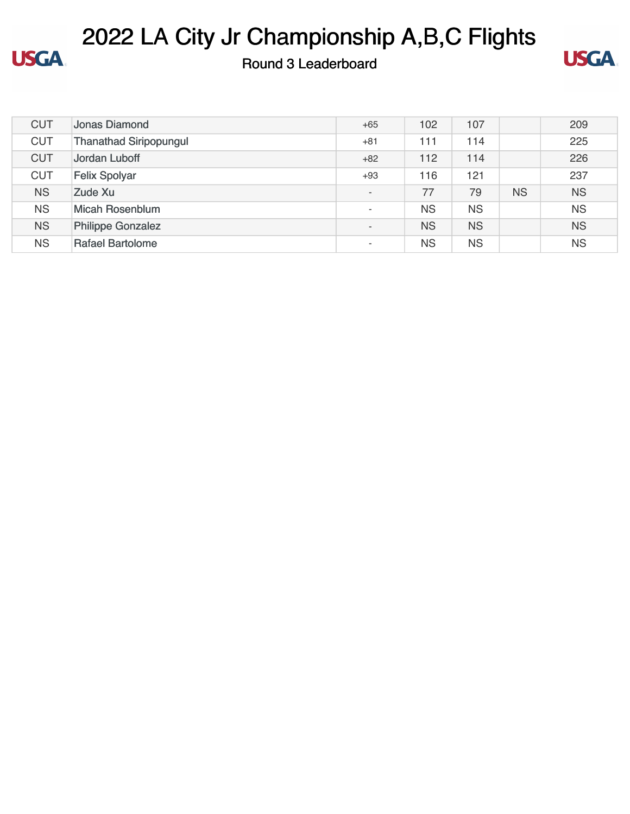

# 2022 LA City Jr Championship A,B,C Flights

Round 3 Leaderboard



| <b>CUT</b> | Jonas Diamond                 | $+65$                    | 102       | 107       |           | 209       |
|------------|-------------------------------|--------------------------|-----------|-----------|-----------|-----------|
| <b>CUT</b> | <b>Thanathad Siripopungul</b> | $+81$                    | 111       | 114       |           | 225       |
| <b>CUT</b> | Jordan Luboff                 | $+82$                    | 112       | 114       |           | 226       |
| <b>CUT</b> | <b>Felix Spolyar</b>          | $+93$                    | 116       | 121       |           | 237       |
| <b>NS</b>  | Zude Xu                       | $\overline{\phantom{a}}$ | 77        | 79        | <b>NS</b> | <b>NS</b> |
| <b>NS</b>  | Micah Rosenblum               | $\overline{\phantom{a}}$ | <b>NS</b> | <b>NS</b> |           | <b>NS</b> |
| <b>NS</b>  | <b>Philippe Gonzalez</b>      | $\overline{\phantom{a}}$ | <b>NS</b> | <b>NS</b> |           | <b>NS</b> |
| <b>NS</b>  | <b>Rafael Bartolome</b>       | ٠                        | <b>NS</b> | <b>NS</b> |           | <b>NS</b> |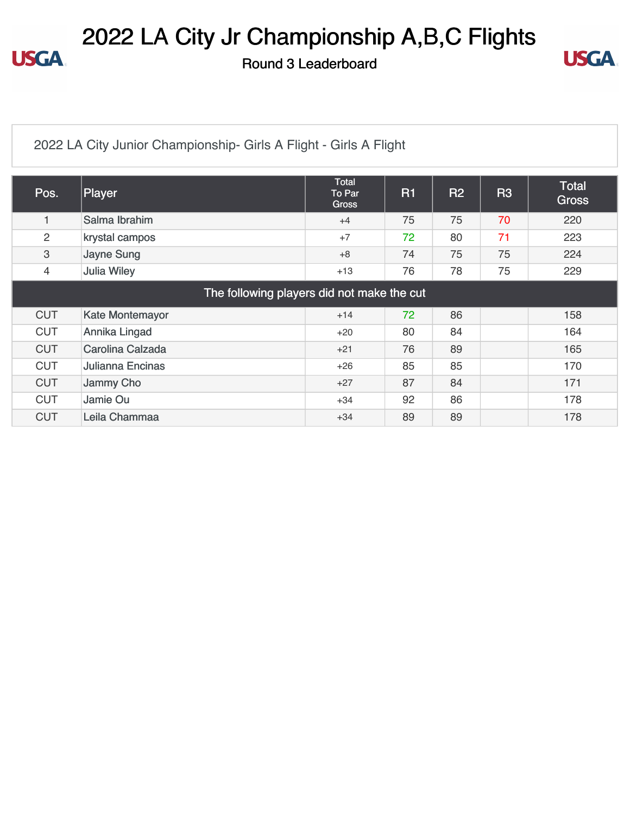## 2022 LA City Jr Championship A,B,C Flights

Round 3 Leaderboard



#### [2022 LA City Junior Championship- Girls A Flight - Girls A Flight](https://cdn2.golfgenius.com/v2tournaments/8346881794846501944?called_from=&round_index=3)

| Pos.                                       | Player                 | <b>Total</b><br>To Par<br><b>Gross</b> | <b>R1</b> | <b>R2</b> | R <sub>3</sub> | Total<br><b>Gross</b> |  |
|--------------------------------------------|------------------------|----------------------------------------|-----------|-----------|----------------|-----------------------|--|
| 1                                          | Salma Ibrahim          | $+4$                                   | 75        | 75        | 70             | 220                   |  |
| $\overline{c}$                             | krystal campos         | $+7$                                   | 72        | 80        | 71             | 223                   |  |
| 3                                          | <b>Jayne Sung</b>      | $+8$                                   | 74        | 75        | 75             | 224                   |  |
| $\overline{4}$                             | <b>Julia Wiley</b>     | $+13$                                  | 76        | 78        | 75             | 229                   |  |
| The following players did not make the cut |                        |                                        |           |           |                |                       |  |
| <b>CUT</b>                                 | <b>Kate Montemayor</b> | $+14$                                  | 72        | 86        |                | 158                   |  |
| <b>CUT</b>                                 | Annika Lingad          | $+20$                                  | 80        | 84        |                | 164                   |  |
| <b>CUT</b>                                 | Carolina Calzada       | $+21$                                  | 76        | 89        |                | 165                   |  |
| <b>CUT</b>                                 | Julianna Encinas       | $+26$                                  | 85        | 85        |                | 170                   |  |
| <b>CUT</b>                                 | Jammy Cho              | $+27$                                  | 87        | 84        |                | 171                   |  |
| <b>CUT</b>                                 | Jamie Ou               | $+34$                                  | 92        | 86        |                | 178                   |  |
| <b>CUT</b>                                 | Leila Chammaa          | $+34$                                  | 89        | 89        |                | 178                   |  |